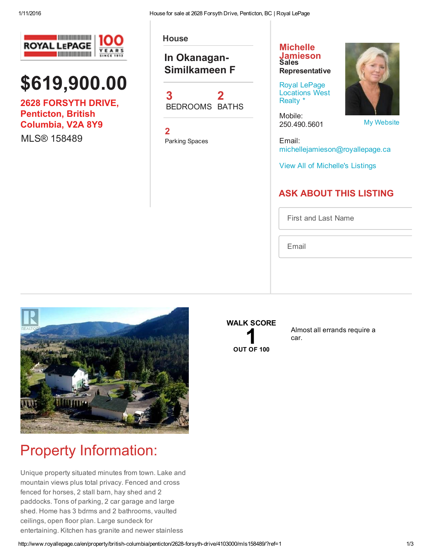

# \$619,900.00

2628 FORSYTH DRIVE, Penticton, British Columbia, V2A 8Y9

MI S® 158489

**House** 

### In Okanagan-Similkameen F



2 Parking Spaces

#### **Michelle** [Jamieson](http://www.royallepage.ca/en/agent/british-columbia/penticton/michelle-jamieson/12503/) Sales **Representative**

Royal LePage [Locations](http://www.royallepage.ca/en/office/british-columbia/penticton/royal-lepage-locations-west-realty/308/) West Realty \*

Mobile: 250.490.5601



My [Website](http://www.michellejamieson.ca/)

Email: michellejamieson@royallepage.ca

View All of [Michelle's](http://www.royallepage.ca/search/homes/by-agent/michelle-jamieson/12503/) Listings

### ASK ABOUT THIS LISTING

First and Last Name

Email



## Property Information:

Unique property situated minutes from town. Lake and mountain views plus total privacy. Fenced and cross fenced for horses, 2 stall barn, hay shed and 2 paddocks. Tons of parking, 2 car garage and large shed. Home has 3 bdrms and 2 bathrooms, vaulted ceilings, open floor plan. Large sundeck for entertaining. Kitchen has granite and newer stainless

### WALK SCORE



Almost all errands require a car.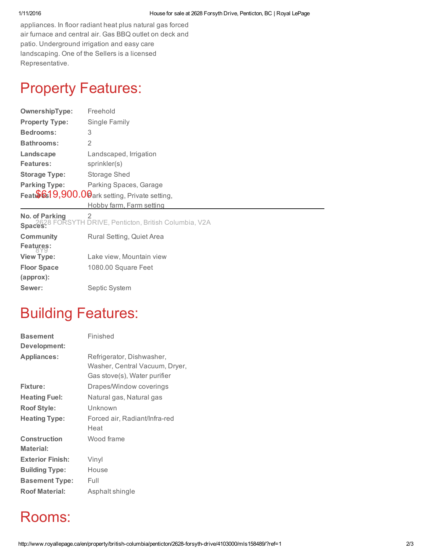appliances. In floor radiant heat plus natural gas forced air furnace and central air. Gas BBQ outlet on deck and patio. Underground irrigation and easy care landscaping. One of the Sellers is a licensed Representative.

# Property Features:

| OwnershipType:                                  | Freehold                 |
|-------------------------------------------------|--------------------------|
| <b>Property Type:</b>                           | Single Family            |
| <b>Bedrooms:</b>                                | 3                        |
| <b>Bathrooms:</b>                               | 2                        |
| Landscape                                       | Landscaped, Irrigation   |
| Features:                                       | sprinkler(s)             |
| <b>Storage Type:</b>                            | Storage Shed             |
| <b>Parking Type:</b>                            | Parking Spaces, Garage   |
| Feat \$619,900.00 ark setting, Private setting, |                          |
|                                                 | Hobby farm, Farm setting |

No. of Parking Spaces: 2 2628 FORSYTH DRIVE, Penticton, British Columbia, V2A

| <b>Community</b>   | Rural Setting, Quiet Area |
|--------------------|---------------------------|
| Features:          |                           |
| <b>View Type:</b>  | Lake view, Mountain view  |
| <b>Floor Space</b> | 1080.00 Square Feet       |
| $(approx)$ :       |                           |
| Sewer:             | Septic System             |

### Building Features:

| <b>Basement</b><br>Development:  | Finished                                                                                    |
|----------------------------------|---------------------------------------------------------------------------------------------|
| <b>Appliances:</b>               | Refrigerator, Dishwasher,<br>Washer, Central Vacuum, Dryer,<br>Gas stove(s), Water purifier |
| Fixture:                         | Drapes/Window coverings                                                                     |
| <b>Heating Fuel:</b>             | Natural gas, Natural gas                                                                    |
| <b>Roof Style:</b>               | Unknown                                                                                     |
| <b>Heating Type:</b>             | Forced air, Radiant/Infra-red<br>Heat                                                       |
| <b>Construction</b><br>Material: | Wood frame                                                                                  |
| <b>Exterior Finish:</b>          | Vinyl                                                                                       |
| <b>Building Type:</b>            | House                                                                                       |
| <b>Basement Type:</b>            | Full                                                                                        |
| <b>Roof Material:</b>            | Asphalt shingle                                                                             |

### Rooms: